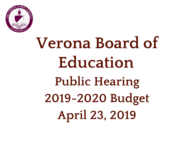

# **Verona Board of Education Public Hearing 2019-2020 Budget April 23, 2019**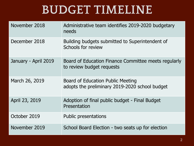## **BUDGET TIMELINE**

| November 2018        | Administrative team identifies 2019-2020 budgetary<br>needs                         |
|----------------------|-------------------------------------------------------------------------------------|
| December 2018        | Building budgets submitted to Superintendent of<br>Schools for review               |
| January - April 2019 | Board of Education Finance Committee meets regularly<br>to review budget requests   |
| March 26, 2019       | Board of Education Public Meeting<br>adopts the preliminary 2019-2020 school budget |
| April 23, 2019       | Adoption of final public budget - Final Budget<br>Presentation                      |
| October 2019         | <b>Public presentations</b>                                                         |
| November 2019        | School Board Election - two seats up for election                                   |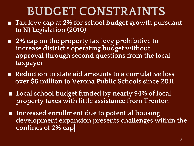# **BUDGET CONSTRAINTS**

- **Tax levy cap at 2% for school budget growth pursuant to NJ Legislation (2010)**
- **2% cap on the property tax levy prohibitive to increase district's operating budget without approval through second questions from the local taxpayer**
- **Reduction in state aid amounts to a cumulative loss over \$6 million to Verona Public Schools since 2011**
- Local school budget funded by nearly 94% of local **property taxes with little assistance from Trenton**
- **Increased enrollment due to potential housing development expansion presents challenges within the confines of 2% cap**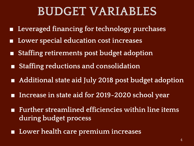## **BUDGET VARIABLES**

- Leveraged financing for technology purchases
- **Lower special education cost increases**
- **Staffing retirements post budget adoption**
- **Staffing reductions and consolidation**
- **Additional state aid July 2018 post budget adoption**
- Increase in state aid for 2019-2020 school year
- Further streamlined efficiencies within line items **during budget process**
- Lower health care premium increases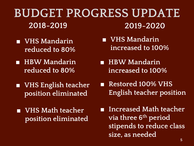#### **BUDGET PROGRESS UPDATE 2019-2020 2018-2019**

- **VHS Mandarin reduced to 80%**
- **HBW Mandarin reduced to 80%**
- **VHS English teacher position eliminated**
- **VHS Math teacher position eliminated**
- **VHS Mandarin increased to 100%**
- **HBW Mandarin increased to 100%**
- **Restored 100% VHS English teacher position**

■ **Increased Math teacher via three 6th period stipends to reduce class size, as needed**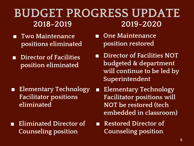## **BUDGET PROGRESS UPDATE 2018-2019 2019-2020**

- **Two Maintenance positions eliminated**
- **Director of Facilities position eliminated**

- **Elementary Technology Facilitator positions eliminated**
- **Eliminated Director of Counseling position**
- One Maintenance **position restored**
- **Director of Facilities NOT budgeted & department will continue to be led by Superintendent**
- **Elementary Technology Facilitator positions will NOT be restored (tech embedded in classroom)**
- **Restored Director of Counseling position**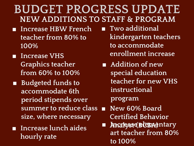## **BUDGET PROGRESS UPDATE NEW ADDITIONS TO STAFF & PROGRAM**

- **Increase HBW French teacher from 80% to 100%**
- **Increase VHS Graphics teacher from 60% to 100%**
- **Budgeted funds to accommodate 6th period stipends over summer to reduce class size, where necessary**
- **Increase lunch aides hourly rate**
- **Two additional kindergarten teachers to accommodate enrollment increase**
- **Addition of new special education teacher for new VHS instructional program**
- **New 60% Board Certified Behavior**
- **Analyst (BCBA) Increase elementary art teacher from 80% to 100%**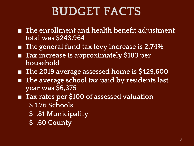# **BUDGET FACTS**

- **The enrollment and health benefit adjustment total was \$243,964**
- **The general fund tax levy increase is 2.74%**
- Tax increase is approximately \$183 per **household**
- **The 2019 average assessed home is \$429,600**
- **The average school tax paid by residents last year was \$6,375**
- Tax rates per \$100 of assessed valuation
	- **\$ 1.76 Schools**
	- **\$ .81 Municipality**
	- **\$ .60 County**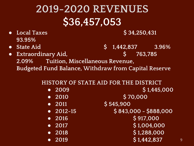# **2019-2020 REVENUES \$36,457,053**

- Local Taxes **\$ 34,250,431 93.95%**
- **State Aid \$ 1,442,837 3.96%**
- **Extraordinary Aid, \$ 763,785 2.09% Tuition, Miscellaneous Revenue, Budgeted Fund Balance, Withdraw from Capital Reserve**

#### **HISTORY OF STATE AID FOR THE DISTRICT**

| 2009<br>$\bullet$                          | \$1,445,000           |   |
|--------------------------------------------|-----------------------|---|
| 2010<br>$\bullet$                          | \$70,000              |   |
| 2011<br>$\bullet$                          | \$545,900             |   |
| $-2012-15$                                 | $$843,000 - $888,000$ |   |
| 2016<br>$\bullet$                          | \$917,000             |   |
| $\overline{\phantom{0}}$ 2017<br>$\bullet$ | \$1,004,000           |   |
| 2018<br>$\bullet$                          | \$1,288,000           |   |
| 2019<br>$\bullet$                          | \$1,442,837           | 9 |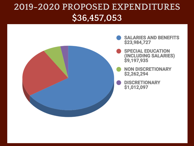### **2019-2020 PROPOSED EXPENDITURES \$36,457,053**

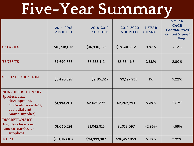# **Five-Year Summary**

|                                                                                                                       | 2014-2015<br><b>ADOPTED</b> | 2018-2019<br><b>ADOPTED</b> | 2019-2020<br><b>ADOPTED</b> | 1-YEAR<br><b>CHANGE</b> | <b>5 YEAR</b><br><b>CAGR</b><br>Compounded<br><b>Annual Growth</b><br>Rate |
|-----------------------------------------------------------------------------------------------------------------------|-----------------------------|-----------------------------|-----------------------------|-------------------------|----------------------------------------------------------------------------|
| <b>SALARIES</b>                                                                                                       | \$16,748,073                | \$16,930,169                | \$18,600,612                | 9.87%                   | 2.12%                                                                      |
| <b>BENEFITS</b>                                                                                                       | \$4,690,638                 | \$5,233,413                 | \$5,384,115                 | 2.88%                   | 2.80%                                                                      |
| <b>SPECIAL EDUCATION</b>                                                                                              | \$6,490,897                 | \$9,106,517                 | \$9,197,935                 | 1%                      | 7.22%                                                                      |
| <b>NON-DISCRETIONARY</b><br>(professional<br>development,<br>curriculum writing,<br>custodial and<br>maint. supplies) | \$1,993,204                 | \$2,089,372                 | \$2,262,294                 | 8.28%                   | 2.57%                                                                      |
| <b>DISCRETIONARY</b><br>(regular classroom<br>and co-curricular<br>supplies)                                          | \$1,040,291                 | \$1,042,916                 | \$1,012,097                 | $-2.96%$                | $-.55%$                                                                    |
| <b>TOTAL</b>                                                                                                          | \$30,963,104                | \$34,399,387                | \$36,457,053                | 5.98%                   | 3.32%                                                                      |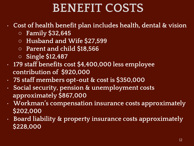# **BENEFIT COSTS**

#### • **Cost of health benefit plan includes health, dental & vision**

- **Family \$32,645**
- **Husband and Wife \$27,599**
- **Parent and child \$18,566**
- **Single \$12,487**
- **179 staff benefits cost \$4,400,000 less employee contribution of \$920,000**
- **75 staff members opt-out & cost is \$350,000**
- **Social security, pension & unemployment costs approximately \$867,000**
- **Workman's compensation insurance costs approximately \$202,000**
- **Board liability & property insurance costs approximately \$228,000**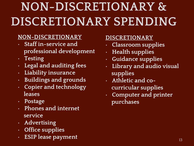# **NON-DISCRETIONARY & DISCRETIONARY SPENDING**

#### **NON-DISCRETIONARY**

- **Staff in-service and professional development**
- **Testing**
- **Legal and auditing fees**
- **Liability insurance**
- **Buildings and grounds**
- **Copier and technology leases**
- **Postage**
- **Phones and internet service**
- **Advertising**
- **Office supplies**
- **ESIP lease payment**

#### **DISCRETIONARY**

- **Classroom supplies**
- **Health supplies**
- **Guidance supplies**
- **Library and audio visual supplies**
- **Athletic and cocurricular supplies**
- **Computer and printer purchases**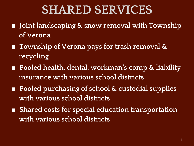## **SHARED SERVICES**

- **Joint landscaping & snow removal with Township of Verona**
- **Township of Verona pays for trash removal & recycling**
- **Pooled health, dental, workman's comp & liability insurance with various school districts**
- **Pooled purchasing of school & custodial supplies with various school districts**
- **Shared costs for special education transportation with various school districts**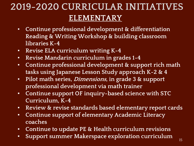## **2019-2020 CURRICULAR INITIATIVES ELEMENTARY**

- **Continue professional development & differentiation Reading & Writing Workshop & building classroom libraries K-4**
- **Revise ELA curriculum writing K-4**
- **Revise Mandarin curriculum in grades 1-4**
- **Continue professional development & support rich math tasks using Japanese Lesson Study approach K-2 & 4**
- **Pilot math series, Dimensions, in grade 3 & support professional development via math trainer**
- **Continue support OF inquiry-based science with STC Curriculum, K-4**
- **Review & revise standards based elementary report cards**
- **Continue support of elementary Academic Literacy coaches**
- **Continue to update PE & Health curriculum revisions**
- **Support summer Makerspace exploration curriculum**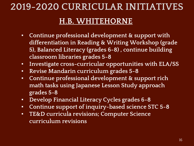### **2019-2020 CURRICULAR INITIATIVES**

#### **H.B. WHITEHORNE**

- **Continue professional development & support with differentiation in Reading & Writing Workshop (grade 5), Balanced Literacy (grades 6-8) , continue building classroom libraries grades 5-8**
- **Investigate cross-curricular opportunities with ELA/SS**
- **Revise Mandarin curriculum grades 5-8**
- **Continue professional development & support rich math tasks using Japanese Lesson Study approach grades 5-8**
- **Develop Financial Literacy Cycles grades 6-8**
- **Continue support of inquiry-based science STC 5-8**
- **TE&D curricula revisions; Computer Science curriculum revisions**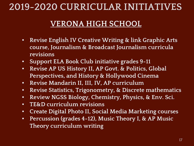### **2019-2020 CURRICULAR INITIATIVES**

#### **VERONA HIGH SCHOOL**

- **Revise English IV Creative Writing & link Graphic Arts course, Journalism & Broadcast Journalism curricula revisions**
- **Support ELA Book Club initiative grades 9-11**
- **Revise AP US History II, AP Govt. & Politics, Global Perspectives, and History & Hollywood Cinema**
- **Revise Mandarin II, III, IV, AP curriculum**
- **Revise Statistics, Trigonometry, & Discrete mathematics**
- **Review NGSS Biology, Chemistry, Physics, & Env. Sci.**
- **TE&D curriculum revisions**
- **Create Digital Photo II, Social Media Marketing courses**
- **Percussion (grades 4-12), Music Theory I, & AP Music Theory curriculum writing**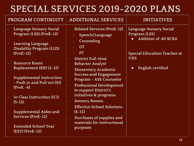## **SPECIAL SERVICES 2019-2020 PLANS**

| PROGRAM CONTINUITY                                                                                              | <b>ADDITIONAL SERVICES</b>                                                                                  | <b>INITIATIVES</b>                                               |  |  |
|-----------------------------------------------------------------------------------------------------------------|-------------------------------------------------------------------------------------------------------------|------------------------------------------------------------------|--|--|
| <b>Language Sensory Social</b><br>$\bullet$<br>Program (LSS) (PreK-12)<br><b>Learning Language</b><br>$\bullet$ | <b>Related Services (PreK-12)</b><br>$\bullet$<br>Speech/Language<br>$\bullet$ .<br>Counseling<br>$\bullet$ | Language Sensory Social<br>Program (LSS)<br>Addition of .60 BCBA |  |  |
| <b>Disability Program (LLD)</b><br>$(PreK-12)$                                                                  | <b>OT</b><br>$\bullet$ .<br><b>PT</b><br><b>District Full-time</b><br>$\bullet$                             | <b>Special Education Teacher at</b><br><b>VHS</b>                |  |  |
| <b>Resource Room</b><br>Replacement (RR) (2-12)                                                                 | <b>Behavior Analyst</b><br>Elementary Academic<br>$\bullet$<br><b>Success and Engagement</b>                | English certified<br>$\bullet$                                   |  |  |
| <b>Supplemental Instruction</b><br>$\bullet$<br>- Push in and Pull out (SI)<br>$(Prek - 4)$                     | Program - ASE Counselor<br><b>Professional Development</b><br>$\bullet$<br>to support District's            |                                                                  |  |  |
| In Class Instruction (ICI)<br>$(5-12)$                                                                          | initiatives & programs<br><b>Sensory Rooms</b><br>$\bullet$<br><b>Effective School Solutions</b>            |                                                                  |  |  |
| Supplemental Aides and<br>Services (PreK-12)                                                                    | $\bullet$<br>$(5-12)$<br>Purchases of supplies and<br>$\bullet$                                             |                                                                  |  |  |
| <b>Extended School Year</b><br>$(ESY)$ (PreK-12)                                                                | materials for instructional<br>purposes                                                                     |                                                                  |  |  |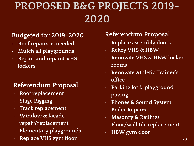# **PROPOSED B&G PROJECTS 2019- 2020**

#### **Budgeted for 2019-2020**

- **Roof repairs as needed**
- **Mulch all playgrounds**
- **Repair and repaint VHS lockers**

#### **Referendum Proposal**

- **Roof replacement**
- **Stage Rigging**
- **Track replacement**
- **Window & facade repair/replacement**
- **Elementary playgrounds**
- **Replace VHS gym floor** 20 *Particularly 20**Z***<sub>20</sub>**

#### **Referendum Proposal**

- **Replace assembly doors**
- **Rekey VHS & HBW**
- **Renovate VHS & HBW locker rooms**
- **Renovate Athletic Trainer's office**
- **Parking lot & playground paving**
- **Phones & Sound System**
- **Boiler Repairs**
- **Masonry & Railings**
- **Floor/wall tile replacement**
- **HBW gym door**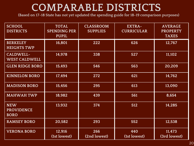## **COMPARABLE DISTRICTS**

**(Based on 17-18 State has not yet updated the spending guide for 18-19 comparison purposes)**

| <b>SCHOOL</b><br><b>DISTRICTS</b>              | <b>TOTAL</b><br><b>SPENDING PER</b><br><b>PUPIL</b> | <b>CLASSROOM</b><br><b>SUPPLIES</b> | <b>EXTRA-</b><br><b>CURRICULAR</b> | <b>AVERAGE</b><br><b>PROPERTY</b><br><b>TAXES</b> |
|------------------------------------------------|-----------------------------------------------------|-------------------------------------|------------------------------------|---------------------------------------------------|
| <b>BERKELEY</b><br><b>HEIGHTS TWP</b>          | 16,801                                              | 222                                 | 626                                | $\overline{12,767}$                               |
| CALDWELL-<br><b>WEST CALDWELL</b>              | 14,978                                              | 338                                 | 527                                | 11,102                                            |
| <b>GLEN RIDGE BORO</b>                         | 15,493                                              | 546                                 | 563                                | 20,209                                            |
| <b>KINNELON BORO</b>                           | 17,494                                              | 272                                 | 621                                | 14,762                                            |
| <b>MADISON BORO</b>                            | 15,456                                              | 295                                 | 613                                | 13,090                                            |
| <b>MAHWAH TWP</b>                              | 18,982                                              | 439                                 | 561                                | 8,654                                             |
| <b>NEW</b><br><b>PROVIDENCE</b><br><b>BORO</b> | 13,932                                              | 374                                 | 512                                | 14,285                                            |
| <b>RAMSEY BORO</b>                             | 20,582                                              | 293                                 | 552                                | 12,538                                            |
| <b>VERONA BORO</b>                             | 12,916<br>(1st lowest)                              | 266<br>(2nd lowest)                 | 440<br>(1st lowest)                | 11,473<br>(3rd lowest)                            |